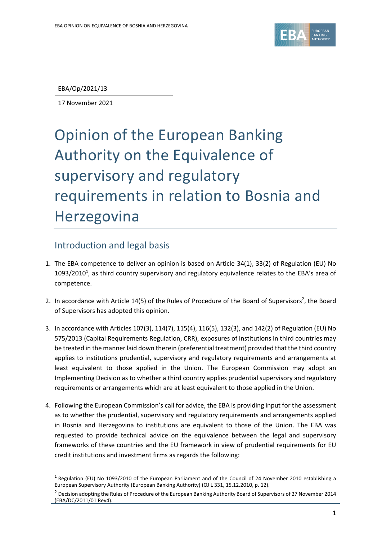

EBA/Op/2021/13

17 November 2021

## Opinion of the European Banking Authority on the Equivalence of supervisory and regulatory requirements in relation to Bosnia and Herzegovina

## Introduction and legal basis

- 1. The EBA competence to deliver an opinion is based on Article 34(1), 33(2) of Regulation (EU) No  $1093/2010<sup>1</sup>$ , as third country supervisory and regulatory equivalence relates to the EBA's area of competence.
- 2. In accordance with Article 14(5) of the Rules of Procedure of the Board of Supervisors<sup>2</sup>, the Board of Supervisors has adopted this opinion.
- 3. In accordance with Articles 107(3), 114(7), 115(4), 116(5), 132(3), and 142(2) of Regulation (EU) No 575/2013 (Capital Requirements Regulation, CRR), exposures of institutions in third countries may be treated in the manner laid down therein (preferential treatment) provided that the third country applies to institutions prudential, supervisory and regulatory requirements and arrangements at least equivalent to those applied in the Union. The European Commission may adopt an Implementing Decision as to whether a third country applies prudential supervisory and regulatory requirements or arrangements which are at least equivalent to those applied in the Union.
- 4. Following the European Commission's call for advice, the EBA is providing input for the assessment as to whether the prudential, supervisory and regulatory requirements and arrangements applied in Bosnia and Herzegovina to institutions are equivalent to those of the Union. The EBA was requested to provide technical advice on the equivalence between the legal and supervisory frameworks of these countries and the EU framework in view of prudential requirements for EU credit institutions and investment firms as regards the following:

<sup>&</sup>lt;sup>1</sup> Regulation (EU) No 1093/2010 of the European Parliament and of the Council of 24 November 2010 establishing a European Supervisory Authority (European Banking Authority) (OJ L 331, 15.12.2010, p. 12).

<sup>&</sup>lt;sup>2</sup> Decision adopting the Rules of Procedure of the European Banking Authority Board of Supervisors of 27 November 2014 (EBA/DC/2011/01 Rev4).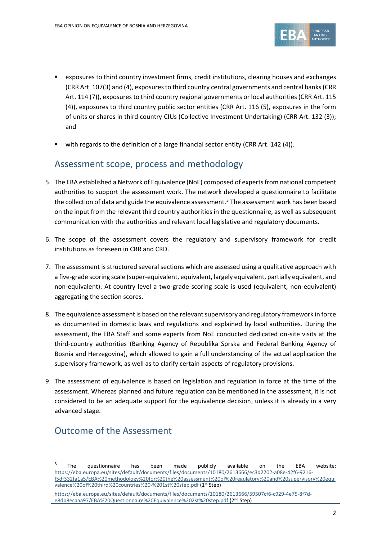

- exposures to third country investment firms, credit institutions, clearing houses and exchanges (CRR Art. 107(3) and (4), exposures to third country central governments and central banks(CRR Art. 114 (7)), exposures to third country regional governments or local authorities (CRR Art. 115 (4)), exposures to third country public sector entities (CRR Art. 116 (5), exposures in the form of units or shares in third country CIUs (Collective Investment Undertaking) (CRR Art. 132 (3)); and
- with regards to the definition of a large financial sector entity (CRR Art. 142 (4)).

## Assessment scope, process and methodology

- 5. The EBA established a Network of Equivalence (NoE) composed of experts from national competent authorities to support the assessment work. The network developed a questionnaire to facilitate the collection of data and guide the equivalence assessment.<sup>3</sup> The assessment work has been based on the input from the relevant third country authorities in the questionnaire, as well as subsequent communication with the authorities and relevant local legislative and regulatory documents.
- 6. The scope of the assessment covers the regulatory and supervisory framework for credit institutions as foreseen in CRR and CRD.
- 7. The assessment is structured several sections which are assessed using a qualitative approach with a five-grade scoring scale (super-equivalent, equivalent, largely equivalent, partially equivalent, and non-equivalent). At country level a two-grade scoring scale is used (equivalent, non-equivalent) aggregating the section scores.
- 8. The equivalence assessment is based on the relevant supervisory and regulatory framework in force as documented in domestic laws and regulations and explained by local authorities. During the assessment, the EBA Staff and some experts from NoE conducted dedicated on-site visits at the third-country authorities (Banking Agency of Republika Sprska and Federal Banking Agency of Bosnia and Herzegovina), which allowed to gain a full understanding of the actual application the supervisory framework, as well as to clarify certain aspects of regulatory provisions.
- 9. The assessment of equivalence is based on legislation and regulation in force at the time of the assessment. Whereas planned and future regulation can be mentioned in the assessment, it is not considered to be an adequate support for the equivalence decision, unless it is already in a very advanced stage.

## Outcome of the Assessment

<sup>3</sup> The questionnaire has been made publicly available on the EBA website: [https://eba.europa.eu/sites/default/documents/files/documents/10180/2613666/ec3d2202-a08e-42f6-9216](https://eba.europa.eu/sites/default/documents/files/documents/10180/2613666/ec3d2202-a08e-42f6-9216-f5df332fa1a5/EBA%20methodology%20for%20the%20assessment%20of%20regulatory%20and%20supervisory%20equivalence%20of%20third%20countries%20-%201st%20step.pdf) [f5df332fa1a5/EBA%20methodology%20for%20the%20assessment%20of%20regulatory%20and%20supervisory%20equi](https://eba.europa.eu/sites/default/documents/files/documents/10180/2613666/ec3d2202-a08e-42f6-9216-f5df332fa1a5/EBA%20methodology%20for%20the%20assessment%20of%20regulatory%20and%20supervisory%20equivalence%20of%20third%20countries%20-%201st%20step.pdf) [valence%20of%20third%20countries%20-%201st%20step.pdf](https://eba.europa.eu/sites/default/documents/files/documents/10180/2613666/ec3d2202-a08e-42f6-9216-f5df332fa1a5/EBA%20methodology%20for%20the%20assessment%20of%20regulatory%20and%20supervisory%20equivalence%20of%20third%20countries%20-%201st%20step.pdf) (1st Step)

[https://eba.europa.eu/sites/default/documents/files/documents/10180/2613666/59507cf6-c929-4e75-8f7d](https://eba.europa.eu/sites/default/documents/files/documents/10180/2613666/59507cf6-c929-4e75-8f7d-e8db8ecaaa97/EBA%20Questionnaire%20Equivalence%202st%20step.pdf)[e8db8ecaaa97/EBA%20Questionnaire%20Equivalence%202st%20step.pdf](https://eba.europa.eu/sites/default/documents/files/documents/10180/2613666/59507cf6-c929-4e75-8f7d-e8db8ecaaa97/EBA%20Questionnaire%20Equivalence%202st%20step.pdf) (2nd Step)